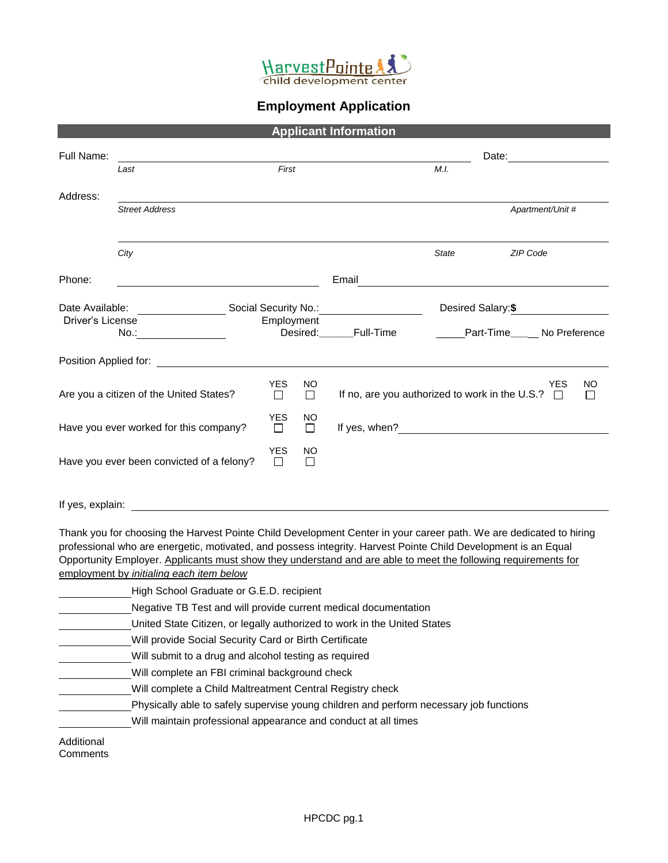

## **Employment Application**

| <b>Applicant Information</b>                                                                                                                        |                                                                                                                                                                                                                                |                      |              |                                                       |              |                         |                  |         |
|-----------------------------------------------------------------------------------------------------------------------------------------------------|--------------------------------------------------------------------------------------------------------------------------------------------------------------------------------------------------------------------------------|----------------------|--------------|-------------------------------------------------------|--------------|-------------------------|------------------|---------|
| Full Name:                                                                                                                                          |                                                                                                                                                                                                                                |                      |              |                                                       |              | Date:                   |                  |         |
| Last                                                                                                                                                |                                                                                                                                                                                                                                | First                |              |                                                       | M.I.         |                         |                  |         |
|                                                                                                                                                     |                                                                                                                                                                                                                                |                      |              |                                                       |              |                         |                  |         |
| Address:                                                                                                                                            | <b>Street Address</b>                                                                                                                                                                                                          |                      |              |                                                       |              |                         | Apartment/Unit # |         |
|                                                                                                                                                     |                                                                                                                                                                                                                                |                      |              |                                                       |              |                         |                  |         |
|                                                                                                                                                     |                                                                                                                                                                                                                                |                      |              |                                                       |              |                         |                  |         |
|                                                                                                                                                     | City                                                                                                                                                                                                                           |                      |              |                                                       | <b>State</b> | <b>ZIP Code</b>         |                  |         |
|                                                                                                                                                     |                                                                                                                                                                                                                                |                      |              |                                                       |              |                         |                  |         |
| Phone:                                                                                                                                              |                                                                                                                                                                                                                                |                      |              | Email                                                 |              |                         |                  |         |
| Date Available:                                                                                                                                     | Social Security No.:                                                                                                                                                                                                           |                      |              |                                                       |              | Desired Salary:\$       |                  |         |
| Driver's License                                                                                                                                    |                                                                                                                                                                                                                                | Employment           |              |                                                       |              |                         |                  |         |
|                                                                                                                                                     | No.:___________________                                                                                                                                                                                                        |                      | Desired:     | Full-Time                                             |              | Part-Time No Preference |                  |         |
|                                                                                                                                                     | Position Applied for: The Contract of the Contract of the Contract of the Contract of the Contract of the Contract of the Contract of the Contract of the Contract of the Contract of the Contract of the Contract of the Cont |                      |              |                                                       |              |                         |                  |         |
|                                                                                                                                                     |                                                                                                                                                                                                                                |                      |              |                                                       |              |                         |                  |         |
|                                                                                                                                                     | Are you a citizen of the United States?                                                                                                                                                                                        | <b>YES</b><br>$\Box$ | NO<br>$\Box$ | If no, are you authorized to work in the U.S.? $\Box$ |              |                         | YES              | NO<br>П |
|                                                                                                                                                     |                                                                                                                                                                                                                                | <b>YES</b>           | NO.          |                                                       |              |                         |                  |         |
|                                                                                                                                                     | Have you ever worked for this company?                                                                                                                                                                                         | Ш                    | $\Box$       | If yes, when?                                         |              |                         |                  |         |
|                                                                                                                                                     |                                                                                                                                                                                                                                | <b>YES</b>           | NO           |                                                       |              |                         |                  |         |
|                                                                                                                                                     | Have you ever been convicted of a felony?                                                                                                                                                                                      | $\Box$               | $\Box$       |                                                       |              |                         |                  |         |
|                                                                                                                                                     |                                                                                                                                                                                                                                |                      |              |                                                       |              |                         |                  |         |
|                                                                                                                                                     | If yes, explain: The state of the state of the state of the state of the state of the state of the state of the state of the state of the state of the state of the state of the state of the state of the state of the state  |                      |              |                                                       |              |                         |                  |         |
|                                                                                                                                                     |                                                                                                                                                                                                                                |                      |              |                                                       |              |                         |                  |         |
|                                                                                                                                                     | Thank you for choosing the Harvest Pointe Child Development Center in your career path. We are dedicated to hiring                                                                                                             |                      |              |                                                       |              |                         |                  |         |
|                                                                                                                                                     | professional who are energetic, motivated, and possess integrity. Harvest Pointe Child Development is an Equal                                                                                                                 |                      |              |                                                       |              |                         |                  |         |
|                                                                                                                                                     | Opportunity Employer. Applicants must show they understand and are able to meet the following requirements for                                                                                                                 |                      |              |                                                       |              |                         |                  |         |
|                                                                                                                                                     | employment by initialing each item below                                                                                                                                                                                       |                      |              |                                                       |              |                         |                  |         |
| High School Graduate or G.E.D. recipient<br>Negative TB Test and will provide current medical documentation                                         |                                                                                                                                                                                                                                |                      |              |                                                       |              |                         |                  |         |
|                                                                                                                                                     |                                                                                                                                                                                                                                |                      |              |                                                       |              |                         |                  |         |
| United State Citizen, or legally authorized to work in the United States<br>Will provide Social Security Card or Birth Certificate                  |                                                                                                                                                                                                                                |                      |              |                                                       |              |                         |                  |         |
|                                                                                                                                                     |                                                                                                                                                                                                                                |                      |              |                                                       |              |                         |                  |         |
| Will submit to a drug and alcohol testing as required                                                                                               |                                                                                                                                                                                                                                |                      |              |                                                       |              |                         |                  |         |
| Will complete an FBI criminal background check                                                                                                      |                                                                                                                                                                                                                                |                      |              |                                                       |              |                         |                  |         |
| Will complete a Child Maltreatment Central Registry check<br>Physically able to safely supervise young children and perform necessary job functions |                                                                                                                                                                                                                                |                      |              |                                                       |              |                         |                  |         |
|                                                                                                                                                     |                                                                                                                                                                                                                                |                      |              |                                                       |              |                         |                  |         |
|                                                                                                                                                     | Will maintain professional appearance and conduct at all times                                                                                                                                                                 |                      |              |                                                       |              |                         |                  |         |
| Additional<br>Comments                                                                                                                              |                                                                                                                                                                                                                                |                      |              |                                                       |              |                         |                  |         |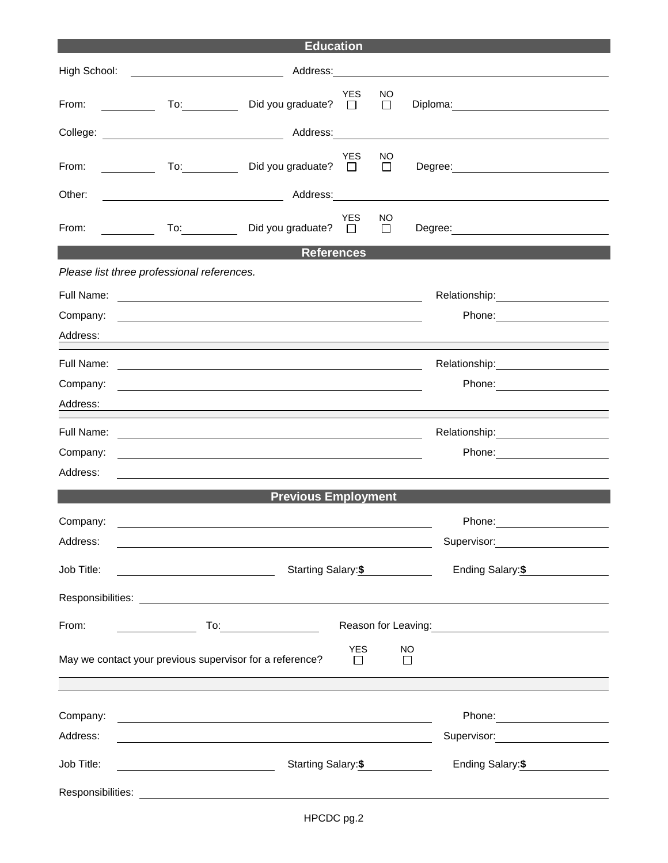| <b>Education</b>                                                                             |                                                                                                                                                                                                                                                                                                                                                                      |                             |                      |               |                                                   |  |
|----------------------------------------------------------------------------------------------|----------------------------------------------------------------------------------------------------------------------------------------------------------------------------------------------------------------------------------------------------------------------------------------------------------------------------------------------------------------------|-----------------------------|----------------------|---------------|---------------------------------------------------|--|
| High School:                                                                                 |                                                                                                                                                                                                                                                                                                                                                                      | Address: _________          |                      |               |                                                   |  |
| From:                                                                                        | $\overline{10}$ :<br><u> 1999 - Jan Jawa</u>                                                                                                                                                                                                                                                                                                                         | Did you graduate?           | <b>YES</b><br>$\Box$ | NO.<br>$\Box$ | Diploma: <u>www.community.com</u>                 |  |
|                                                                                              |                                                                                                                                                                                                                                                                                                                                                                      |                             |                      |               |                                                   |  |
| From:                                                                                        | $\overline{a}$<br><u>and the community of the community of the community of the community of the community of the community of the community of the community of the community of the community of the community of the community of the community</u>                                                                                                               | Did you graduate? $\square$ | <b>YES</b>           | NO.<br>$\Box$ | Degree: <u>www.community.com</u>                  |  |
| Other:                                                                                       |                                                                                                                                                                                                                                                                                                                                                                      |                             |                      |               |                                                   |  |
| From:                                                                                        | $\mathcal{L}=\frac{1}{2} \sum_{i=1}^{n} \frac{1}{2} \sum_{i=1}^{n} \frac{1}{2} \sum_{i=1}^{n} \frac{1}{2} \sum_{i=1}^{n} \frac{1}{2} \sum_{i=1}^{n} \frac{1}{2} \sum_{i=1}^{n} \frac{1}{2} \sum_{i=1}^{n} \frac{1}{2} \sum_{i=1}^{n} \frac{1}{2} \sum_{i=1}^{n} \frac{1}{2} \sum_{i=1}^{n} \frac{1}{2} \sum_{i=1}^{n} \frac{1}{2} \sum_{i=1}^{n} \frac{1}{2} \sum_{$ | Did you graduate? $\Box$    | <b>YES</b>           | NO<br>$\Box$  | Degree: ________________________                  |  |
|                                                                                              |                                                                                                                                                                                                                                                                                                                                                                      | <b>References</b>           |                      |               |                                                   |  |
|                                                                                              | Please list three professional references.                                                                                                                                                                                                                                                                                                                           |                             |                      |               |                                                   |  |
|                                                                                              |                                                                                                                                                                                                                                                                                                                                                                      |                             |                      |               |                                                   |  |
| Company:                                                                                     | <u> 1990 - Johann John Stone, markin sanadi amerikan bahasa dan berasal dan berasal dalam bahasa dalam bahasa da</u>                                                                                                                                                                                                                                                 |                             |                      |               |                                                   |  |
| Address:                                                                                     |                                                                                                                                                                                                                                                                                                                                                                      |                             |                      |               |                                                   |  |
| Full Name:                                                                                   |                                                                                                                                                                                                                                                                                                                                                                      |                             |                      |               |                                                   |  |
| Company:                                                                                     | <u>a sa barang ang pagbabang nagarang pang</u> alang na manang pangangang nagarang pangangang na                                                                                                                                                                                                                                                                     |                             |                      |               |                                                   |  |
| Address:                                                                                     |                                                                                                                                                                                                                                                                                                                                                                      |                             |                      |               |                                                   |  |
| Full Name:                                                                                   | <u> 1989 - Johann Barn, fransk politik (d. 1989)</u>                                                                                                                                                                                                                                                                                                                 |                             |                      |               | Relationship: 2000                                |  |
| Company:                                                                                     | <u> 1989 - Johann Stoff, deutscher Stoffen und der Stoffen und der Stoffen und der Stoffen und der Stoffen und der</u>                                                                                                                                                                                                                                               |                             |                      |               |                                                   |  |
| Address:                                                                                     |                                                                                                                                                                                                                                                                                                                                                                      |                             |                      |               |                                                   |  |
|                                                                                              |                                                                                                                                                                                                                                                                                                                                                                      | <b>Previous Employment</b>  |                      |               |                                                   |  |
| Company:                                                                                     |                                                                                                                                                                                                                                                                                                                                                                      |                             |                      |               | Phone:                                            |  |
| Address:                                                                                     |                                                                                                                                                                                                                                                                                                                                                                      |                             |                      |               | Supervisor: ____________________                  |  |
| Job Title:                                                                                   |                                                                                                                                                                                                                                                                                                                                                                      | Starting Salary:\$          |                      |               | Ending Salary:\$                                  |  |
|                                                                                              |                                                                                                                                                                                                                                                                                                                                                                      |                             |                      |               |                                                   |  |
| From:                                                                                        |                                                                                                                                                                                                                                                                                                                                                                      |                             |                      |               | Reason for Leaving:<br><u>Neason</u> for Leaving: |  |
| <b>YES</b><br>NO<br>May we contact your previous supervisor for a reference?<br>П<br>$\perp$ |                                                                                                                                                                                                                                                                                                                                                                      |                             |                      |               |                                                   |  |
|                                                                                              |                                                                                                                                                                                                                                                                                                                                                                      |                             |                      |               |                                                   |  |
| Company:                                                                                     | <u> 2008 - An Dùbhlachd ann an Dùbhlachd ann an Dùbhlachd ann an Dùbhlachd ann an Dùbhlachd ann an Dùbhlachd ann a</u>                                                                                                                                                                                                                                               |                             |                      |               |                                                   |  |
| Address:                                                                                     | <u> 1989 - Johann Stoff, amerikansk politiker (d. 1989)</u>                                                                                                                                                                                                                                                                                                          |                             |                      |               | Supervisor: _____________________                 |  |
| Job Title:                                                                                   | Starting Salary:\$<br><u> 1989 - Johann Barbara, martin a</u>                                                                                                                                                                                                                                                                                                        |                             |                      |               | Ending Salary: \$                                 |  |
|                                                                                              |                                                                                                                                                                                                                                                                                                                                                                      |                             |                      |               |                                                   |  |